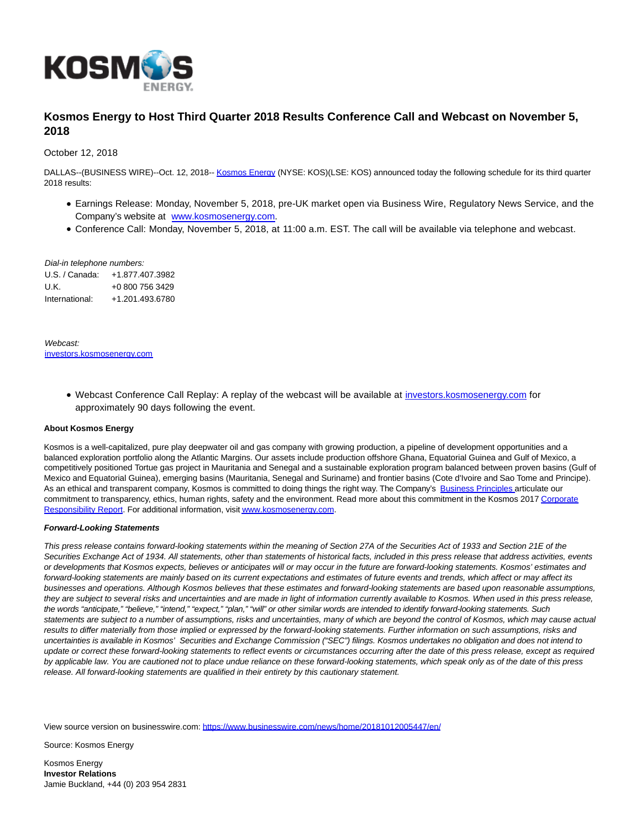

## **Kosmos Energy to Host Third Quarter 2018 Results Conference Call and Webcast on November 5, 2018**

October 12, 2018

DALLAS--(BUSINESS WIRE)--Oct. 12, 2018-- [Kosmos Energy \(](http://cts.businesswire.com/ct/CT?id=smartlink&url=http%3A%2F%2Fwww.kosmosenergy.com%2F&esheet=51882556&newsitemid=20181012005447&lan=en-US&anchor=Kosmos+Energy&index=1&md5=2b41571324a58124b6cf1d24c99e3da2)NYSE: KOS)(LSE: KOS) announced today the following schedule for its third quarter 2018 results:

- Earnings Release: Monday, November 5, 2018, pre-UK market open via Business Wire, Regulatory News Service, and the Company's website at [www.kosmosenergy.com.](http://cts.businesswire.com/ct/CT?id=smartlink&url=http%3A%2F%2Fwww.kosmosenergy.com&esheet=51882556&newsitemid=20181012005447&lan=en-US&anchor=www.kosmosenergy.com&index=2&md5=66e4157d0abdea4512c7da70512446da)
- Conference Call: Monday, November 5, 2018, at 11:00 a.m. EST. The call will be available via telephone and webcast.

Dial-in telephone numbers:

U.S. / Canada: +1.877.407.3982 U.K. +0 800 756 3429 International: +1.201.493.6780

Webcast: [investors.kosmosenergy.com](http://cts.businesswire.com/ct/CT?id=smartlink&url=http%3A%2F%2Finvestors.kosmosenergy.com%2Fphoenix.zhtml%3Fc%3D238878%26p%3Dirol-IRHome&esheet=51882556&newsitemid=20181012005447&lan=en-US&anchor=investors.kosmosenergy.com&index=3&md5=782b95b1e55b6a983fcade994d2d5488)

> Webcast Conference Call Replay: A replay of the webcast will be available at [investors.kosmosenergy.com f](http://cts.businesswire.com/ct/CT?id=smartlink&url=http%3A%2F%2Finvestors.kosmosenergy.com%2Fphoenix.zhtml%3Fc%3D238878%26p%3Dirol-IRHome&esheet=51882556&newsitemid=20181012005447&lan=en-US&anchor=investors.kosmosenergy.com&index=4&md5=dba933578a395cec3128d353fc7b5b2e)or approximately 90 days following the event.

## **About Kosmos Energy**

Kosmos is a well-capitalized, pure play deepwater oil and gas company with growing production, a pipeline of development opportunities and a balanced exploration portfolio along the Atlantic Margins. Our assets include production offshore Ghana, Equatorial Guinea and Gulf of Mexico, a competitively positioned Tortue gas project in Mauritania and Senegal and a sustainable exploration program balanced between proven basins (Gulf of Mexico and Equatorial Guinea), emerging basins (Mauritania, Senegal and Suriname) and frontier basins (Cote d'Ivoire and Sao Tome and Principe). As an ethical and transparent company, Kosmos is committed to doing things the right way. The Company's [Business Principles a](http://cts.businesswire.com/ct/CT?id=smartlink&url=http%3A%2F%2Fwww.kosmosenergy.com%2Fbusiness-principles%2Findex.html&esheet=51882556&newsitemid=20181012005447&lan=en-US&anchor=Business+Principles%C2%A0&index=5&md5=45fbac51d0c80f000129526a9b066c73)rticulate our commitment to transparency, ethics, human rights, safety and the environment. Read more about this commitment in the Kosmos 201[7 Corporate](http://cts.businesswire.com/ct/CT?id=smartlink&url=http%3A%2F%2Fwww.kosmosenergy.com%2Fresponsibility%2Freport%2F2016%2Fenglish%2F%3Fpage%3D1&esheet=51882556&newsitemid=20181012005447&lan=en-US&anchor=Corporate+Responsibility+Report&index=6&md5=bf854863bb53331e1aa8e50c55a049dc) Responsibility Report. For additional information, visi[t www.kosmosenergy.com.](http://cts.businesswire.com/ct/CT?id=smartlink&url=http%3A%2F%2Fwww.kosmosenergy.com&esheet=51882556&newsitemid=20181012005447&lan=en-US&anchor=www.kosmosenergy.com&index=7&md5=18d627193f0679b84026d82997502625)

## **Forward-Looking Statements**

This press release contains forward-looking statements within the meaning of Section 27A of the Securities Act of 1933 and Section 21E of the Securities Exchange Act of 1934. All statements, other than statements of historical facts, included in this press release that address activities, events or developments that Kosmos expects, believes or anticipates will or may occur in the future are forward-looking statements. Kosmos' estimates and forward-looking statements are mainly based on its current expectations and estimates of future events and trends, which affect or may affect its businesses and operations. Although Kosmos believes that these estimates and forward-looking statements are based upon reasonable assumptions, they are subject to several risks and uncertainties and are made in light of information currently available to Kosmos. When used in this press release, the words "anticipate," "believe," "intend," "expect," "plan," "will" or other similar words are intended to identify forward-looking statements. Such statements are subject to a number of assumptions, risks and uncertainties, many of which are beyond the control of Kosmos, which may cause actual results to differ materially from those implied or expressed by the forward-looking statements. Further information on such assumptions, risks and uncertainties is available in Kosmos' Securities and Exchange Commission ("SEC") filings. Kosmos undertakes no obligation and does not intend to update or correct these forward-looking statements to reflect events or circumstances occurring after the date of this press release, except as required by applicable law. You are cautioned not to place undue reliance on these forward-looking statements, which speak only as of the date of this press release. All forward-looking statements are qualified in their entirety by this cautionary statement.

View source version on businesswire.com:<https://www.businesswire.com/news/home/20181012005447/en/>

Source: Kosmos Energy

Kosmos Energy **Investor Relations** Jamie Buckland, +44 (0) 203 954 2831